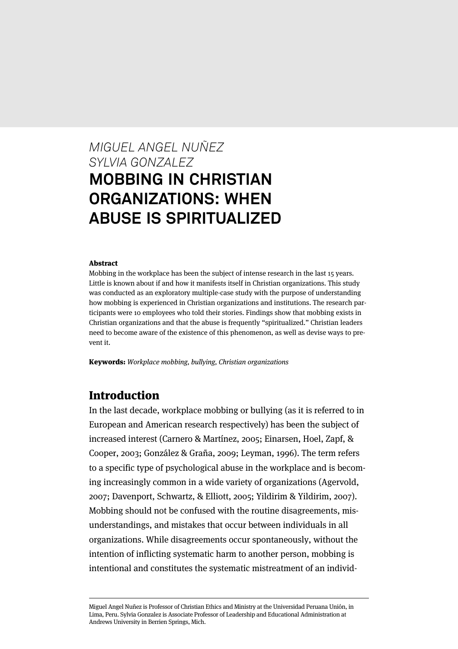# *MIGUEL ANGEL NUÑEZ SYLVIA GONZALEZ* **MOBBING IN CHRISTIAN ORGANIZATIONS: WHEN ABUSE IS SPIRITUALIZED**

#### Abstract

Mobbing in the workplace has been the subject of intense research in the last 15 years. Little is known about if and how it manifests itself in Christian organizations. This study was conducted as an exploratory multiple-case study with the purpose of understanding how mobbing is experienced in Christian organizations and institutions. The research participants were 10 employees who told their stories. Findings show that mobbing exists in Christian organizations and that the abuse is frequently "spiritualized." Christian leaders need to become aware of the existence of this phenomenon, as well as devise ways to prevent it.

Keywords: Workplace mobbing, bullying, Christian organizations

## Introduction

In the last decade, workplace mobbing or bullying (as it is referred to in European and American research respectively) has been the subject of increased interest (Carnero & Martínez, 2005; Einarsen, Hoel, Zapf, & Cooper, 2003; González & Graña, 2009; Leyman, 1996). The term refers to a specific type of psychological abuse in the workplace and is becoming increasingly common in a wide variety of organizations (Agervold, 2007; Davenport, Schwartz, & Elliott, 2005; Yildirim & Yildirim, 2007). Mobbing should not be confused with the routine disagreements, misunderstandings, and mistakes that occur between individuals in all organizations. While disagreements occur spontaneously, without the intention of inflicting systematic harm to another person, mobbing is intentional and constitutes the systematic mistreatment of an individ-

Miguel Angel Nuñez is Professor of Christian Ethics and Ministry at the Universidad Peruana Unión, in Lima, Peru. Sylvia Gonzalez is Associate Professor of Leadership and Educational Administration at Andrews University in Berrien Springs, Mich.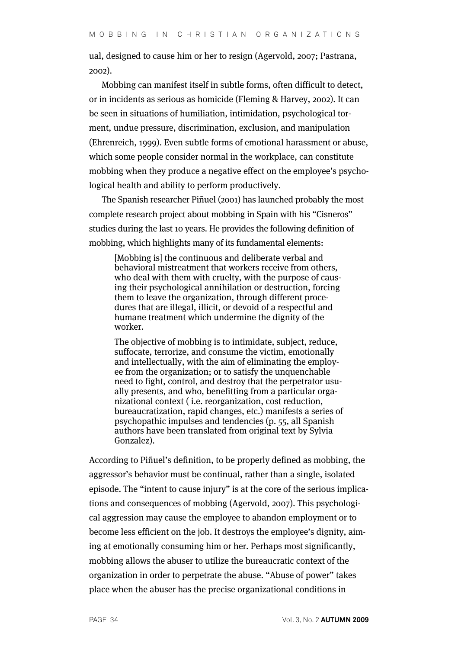ual, designed to cause him or her to resign (Agervold, 2007; Pastrana, 2002).

Mobbing can manifest itself in subtle forms, often difficult to detect, or in incidents as serious as homicide (Fleming & Harvey, 2002). It can be seen in situations of humiliation, intimidation, psychological torment, undue pressure, discrimination, exclusion, and manipulation (Ehrenreich, 1999). Even subtle forms of emotional harassment or abuse, which some people consider normal in the workplace, can constitute mobbing when they produce a negative effect on the employee's psychological health and ability to perform productively.

The Spanish researcher Piñuel (2001) has launched probably the most complete research project about mobbing in Spain with his "Cisneros" studies during the last 10 years. He provides the following definition of mobbing, which highlights many of its fundamental elements:

[Mobbing is] the continuous and deliberate verbal and behavioral mistreatment that workers receive from others, who deal with them with cruelty, with the purpose of causing their psychological annihilation or destruction, forcing them to leave the organization, through different procedures that are illegal, illicit, or devoid of a respectful and humane treatment which undermine the dignity of the worker.

The objective of mobbing is to intimidate, subject, reduce, suffocate, terrorize, and consume the victim, emotionally and intellectually, with the aim of eliminating the employee from the organization; or to satisfy the unquenchable need to fight, control, and destroy that the perpetrator usually presents, and who, benefitting from a particular organizational context ( i.e. reorganization, cost reduction, bureaucratization, rapid changes, etc.) manifests a series of psychopathic impulses and tendencies (p. 55, all Spanish authors have been translated from original text by Sylvia Gonzalez).

According to Piñuel's definition, to be properly defined as mobbing, the aggressor's behavior must be continual, rather than a single, isolated episode. The "intent to cause injury" is at the core of the serious implications and consequences of mobbing (Agervold, 2007). This psychological aggression may cause the employee to abandon employment or to become less efficient on the job. It destroys the employee's dignity, aiming at emotionally consuming him or her. Perhaps most significantly, mobbing allows the abuser to utilize the bureaucratic context of the organization in order to perpetrate the abuse. "Abuse of power" takes place when the abuser has the precise organizational conditions in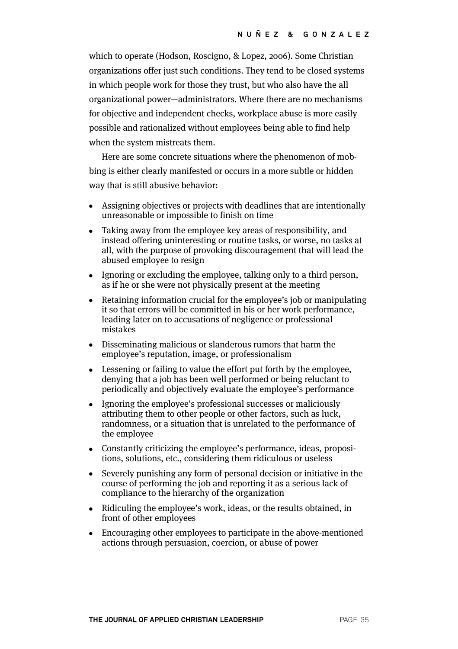which to operate (Hodson, Roscigno, & Lopez, 2006). Some Christian organizations offer just such conditions. They tend to be closed systems in which people work for those they trust, but who also have the all organizational power—administrators. Where there are no mechanisms for objective and independent checks, workplace abuse is more easily possible and rationalized without employees being able to find help when the system mistreats them.

Here are some concrete situations where the phenomenon of mobbing is either clearly manifested or occurs in a more subtle or hidden way that is still abusive behavior:

- Assigning objectives or projects with deadlines that are intentionally unreasonable or impossible to finish on time
- Taking away from the employee key areas of responsibility, and instead offering uninteresting or routine tasks, or worse, no tasks at all, with the purpose of provoking discouragement that will lead the abused employee to resign
- Ignoring or excluding the employee, talking only to a third person, as if he or she were not physically present at the meeting
- Retaining information crucial for the employee's job or manipulating it so that errors will be committed in his or her work performance, leading later on to accusations of negligence or professional mistakes
- Disseminating malicious or slanderous rumors that harm the employee's reputation, image, or professionalism
- Lessening or failing to value the effort put forth by the employee, denying that a job has been well performed or being reluctant to periodically and objectively evaluate the employee's performance
- Ignoring the employee's professional successes or maliciously attributing them to other people or other factors, such as luck, randomness, or a situation that is unrelated to the performance of the employee
- Constantly criticizing the employee's performance, ideas, propositions, solutions, etc., considering them ridiculous or useless
- Severely punishing any form of personal decision or initiative in the course of performing the job and reporting it as a serious lack of compliance to the hierarchy of the organization
- Ridiculing the employee's work, ideas, or the results obtained, in front of other employees
- Encouraging other employees to participate in the above-mentioned actions through persuasion, coercion, or abuse of power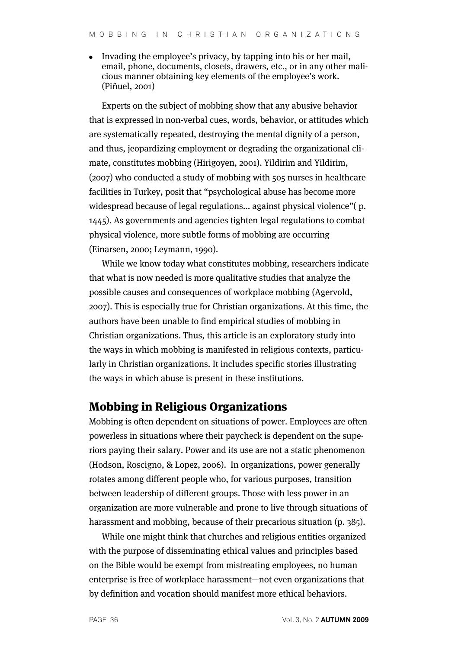• Invading the employee's privacy, by tapping into his or her mail, email, phone, documents, closets, drawers, etc., or in any other malicious manner obtaining key elements of the employee's work. (Piñuel, 2001)

Experts on the subject of mobbing show that any abusive behavior that is expressed in non-verbal cues, words, behavior, or attitudes which are systematically repeated, destroying the mental dignity of a person, and thus, jeopardizing employment or degrading the organizational climate, constitutes mobbing (Hirigoyen, 2001). Yildirim and Yildirim, (2007) who conducted a study of mobbing with 505 nurses in healthcare facilities in Turkey, posit that "psychological abuse has become more widespread because of legal regulations... against physical violence"( p. 1445). As governments and agencies tighten legal regulations to combat physical violence, more subtle forms of mobbing are occurring (Einarsen, 2000; Leymann, 1990).

While we know today what constitutes mobbing, researchers indicate that what is now needed is more qualitative studies that analyze the possible causes and consequences of workplace mobbing (Agervold, 2007). This is especially true for Christian organizations. At this time, the authors have been unable to find empirical studies of mobbing in Christian organizations. Thus, this article is an exploratory study into the ways in which mobbing is manifested in religious contexts, particularly in Christian organizations. It includes specific stories illustrating the ways in which abuse is present in these institutions.

## Mobbing in Religious Organizations

Mobbing is often dependent on situations of power. Employees are often powerless in situations where their paycheck is dependent on the superiors paying their salary. Power and its use are not a static phenomenon (Hodson, Roscigno, & Lopez, 2006). In organizations, power generally rotates among different people who, for various purposes, transition between leadership of different groups. Those with less power in an organization are more vulnerable and prone to live through situations of harassment and mobbing, because of their precarious situation (p. 385).

While one might think that churches and religious entities organized with the purpose of disseminating ethical values and principles based on the Bible would be exempt from mistreating employees, no human enterprise is free of workplace harassment—not even organizations that by definition and vocation should manifest more ethical behaviors.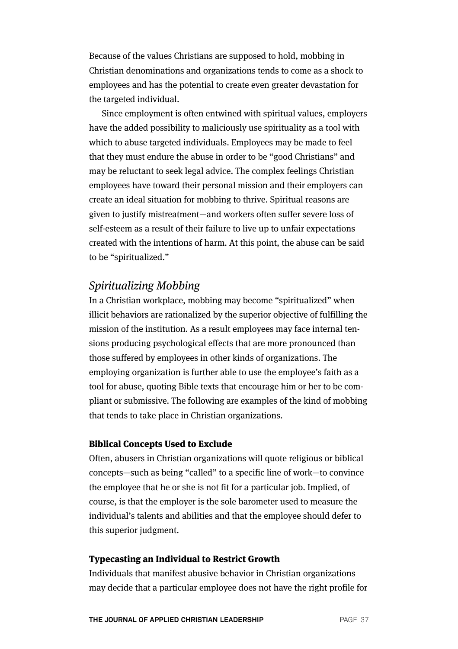Because of the values Christians are supposed to hold, mobbing in Christian denominations and organizations tends to come as a shock to employees and has the potential to create even greater devastation for the targeted individual.

Since employment is often entwined with spiritual values, employers have the added possibility to maliciously use spirituality as a tool with which to abuse targeted individuals. Employees may be made to feel that they must endure the abuse in order to be "good Christians" and may be reluctant to seek legal advice. The complex feelings Christian employees have toward their personal mission and their employers can create an ideal situation for mobbing to thrive. Spiritual reasons are given to justify mistreatment—and workers often suffer severe loss of self-esteem as a result of their failure to live up to unfair expectations created with the intentions of harm. At this point, the abuse can be said to be "spiritualized."

# Spiritualizing Mobbing

In a Christian workplace, mobbing may become "spiritualized" when illicit behaviors are rationalized by the superior objective of fulfilling the mission of the institution. As a result employees may face internal tensions producing psychological effects that are more pronounced than those suffered by employees in other kinds of organizations. The employing organization is further able to use the employee's faith as a tool for abuse, quoting Bible texts that encourage him or her to be compliant or submissive. The following are examples of the kind of mobbing that tends to take place in Christian organizations.

#### Biblical Concepts Used to Exclude

Often, abusers in Christian organizations will quote religious or biblical concepts—such as being "called" to a specific line of work—to convince the employee that he or she is not fit for a particular job. Implied, of course, is that the employer is the sole barometer used to measure the individual's talents and abilities and that the employee should defer to this superior judgment.

#### Typecasting an Individual to Restrict Growth

Individuals that manifest abusive behavior in Christian organizations may decide that a particular employee does not have the right profile for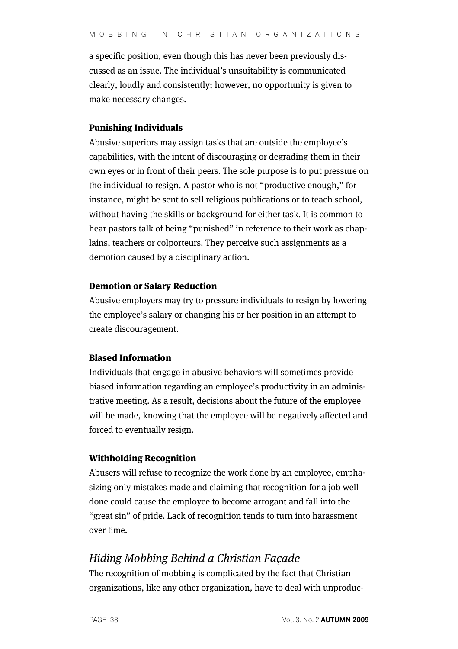a specific position, even though this has never been previously discussed as an issue. The individual's unsuitability is communicated clearly, loudly and consistently; however, no opportunity is given to make necessary changes.

#### Punishing Individuals

Abusive superiors may assign tasks that are outside the employee's capabilities, with the intent of discouraging or degrading them in their own eyes or in front of their peers. The sole purpose is to put pressure on the individual to resign. A pastor who is not "productive enough," for instance, might be sent to sell religious publications or to teach school, without having the skills or background for either task. It is common to hear pastors talk of being "punished" in reference to their work as chaplains, teachers or colporteurs. They perceive such assignments as a demotion caused by a disciplinary action.

#### Demotion or Salary Reduction

Abusive employers may try to pressure individuals to resign by lowering the employee's salary or changing his or her position in an attempt to create discouragement.

#### Biased Information

Individuals that engage in abusive behaviors will sometimes provide biased information regarding an employee's productivity in an administrative meeting. As a result, decisions about the future of the employee will be made, knowing that the employee will be negatively affected and forced to eventually resign.

#### Withholding Recognition

Abusers will refuse to recognize the work done by an employee, emphasizing only mistakes made and claiming that recognition for a job well done could cause the employee to become arrogant and fall into the "great sin" of pride. Lack of recognition tends to turn into harassment over time.

## Hiding Mobbing Behind a Christian Façade

The recognition of mobbing is complicated by the fact that Christian organizations, like any other organization, have to deal with unproduc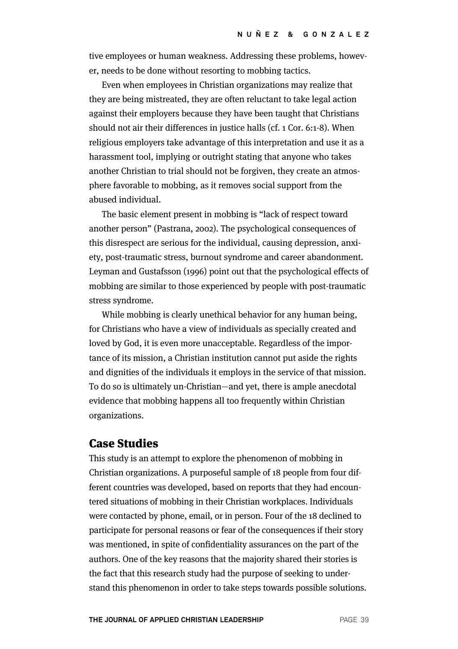tive employees or human weakness. Addressing these problems, however, needs to be done without resorting to mobbing tactics.

Even when employees in Christian organizations may realize that they are being mistreated, they are often reluctant to take legal action against their employers because they have been taught that Christians should not air their differences in justice halls (cf. 1 Cor. 6:1-8). When religious employers take advantage of this interpretation and use it as a harassment tool, implying or outright stating that anyone who takes another Christian to trial should not be forgiven, they create an atmosphere favorable to mobbing, as it removes social support from the abused individual.

The basic element present in mobbing is "lack of respect toward another person" (Pastrana, 2002). The psychological consequences of this disrespect are serious for the individual, causing depression, anxiety, post-traumatic stress, burnout syndrome and career abandonment. Leyman and Gustafsson (1996) point out that the psychological effects of mobbing are similar to those experienced by people with post-traumatic stress syndrome.

While mobbing is clearly unethical behavior for any human being, for Christians who have a view of individuals as specially created and loved by God, it is even more unacceptable. Regardless of the importance of its mission, a Christian institution cannot put aside the rights and dignities of the individuals it employs in the service of that mission. To do so is ultimately un-Christian—and yet, there is ample anecdotal evidence that mobbing happens all too frequently within Christian organizations.

## Case Studies

This study is an attempt to explore the phenomenon of mobbing in Christian organizations. A purposeful sample of 18 people from four different countries was developed, based on reports that they had encountered situations of mobbing in their Christian workplaces. Individuals were contacted by phone, email, or in person. Four of the 18 declined to participate for personal reasons or fear of the consequences if their story was mentioned, in spite of confidentiality assurances on the part of the authors. One of the key reasons that the majority shared their stories is the fact that this research study had the purpose of seeking to understand this phenomenon in order to take steps towards possible solutions.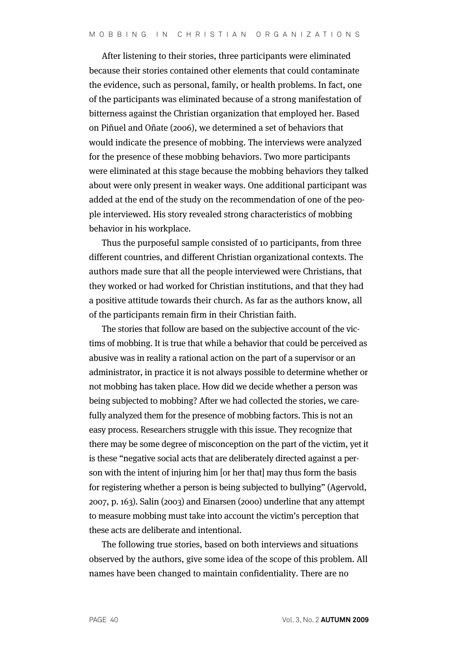After listening to their stories, three participants were eliminated because their stories contained other elements that could contaminate the evidence, such as personal, family, or health problems. In fact, one of the participants was eliminated because of a strong manifestation of bitterness against the Christian organization that employed her. Based on Piñuel and Oñate (2006), we determined a set of behaviors that would indicate the presence of mobbing. The interviews were analyzed for the presence of these mobbing behaviors. Two more participants were eliminated at this stage because the mobbing behaviors they talked about were only present in weaker ways. One additional participant was added at the end of the study on the recommendation of one of the people interviewed. His story revealed strong characteristics of mobbing behavior in his workplace.

Thus the purposeful sample consisted of 10 participants, from three different countries, and different Christian organizational contexts. The authors made sure that all the people interviewed were Christians, that they worked or had worked for Christian institutions, and that they had a positive attitude towards their church. As far as the authors know, all of the participants remain firm in their Christian faith.

The stories that follow are based on the subjective account of the victims of mobbing. It is true that while a behavior that could be perceived as abusive was in reality a rational action on the part of a supervisor or an administrator, in practice it is not always possible to determine whether or not mobbing has taken place. How did we decide whether a person was being subjected to mobbing? After we had collected the stories, we carefully analyzed them for the presence of mobbing factors. This is not an easy process. Researchers struggle with this issue. They recognize that there may be some degree of misconception on the part of the victim, yet it is these "negative social acts that are deliberately directed against a person with the intent of injuring him [or her that] may thus form the basis for registering whether a person is being subjected to bullying" (Agervold, 2007, p. 163). Salin (2003) and Einarsen (2000) underline that any attempt to measure mobbing must take into account the victim's perception that these acts are deliberate and intentional.

The following true stories, based on both interviews and situations observed by the authors, give some idea of the scope of this problem. All names have been changed to maintain confidentiality. There are no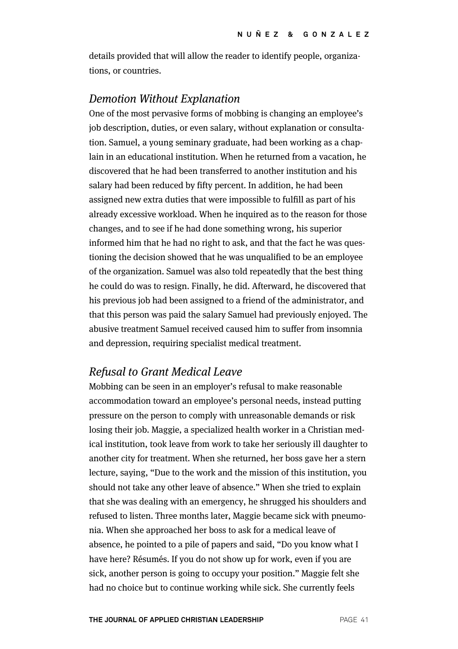details provided that will allow the reader to identify people, organizations, or countries.

## Demotion Without Explanation

One of the most pervasive forms of mobbing is changing an employee's job description, duties, or even salary, without explanation or consultation. Samuel, a young seminary graduate, had been working as a chaplain in an educational institution. When he returned from a vacation, he discovered that he had been transferred to another institution and his salary had been reduced by fifty percent. In addition, he had been assigned new extra duties that were impossible to fulfill as part of his already excessive workload. When he inquired as to the reason for those changes, and to see if he had done something wrong, his superior informed him that he had no right to ask, and that the fact he was questioning the decision showed that he was unqualified to be an employee of the organization. Samuel was also told repeatedly that the best thing he could do was to resign. Finally, he did. Afterward, he discovered that his previous job had been assigned to a friend of the administrator, and that this person was paid the salary Samuel had previously enjoyed. The abusive treatment Samuel received caused him to suffer from insomnia and depression, requiring specialist medical treatment.

## Refusal to Grant Medical Leave

Mobbing can be seen in an employer's refusal to make reasonable accommodation toward an employee's personal needs, instead putting pressure on the person to comply with unreasonable demands or risk losing their job. Maggie, a specialized health worker in a Christian medical institution, took leave from work to take her seriously ill daughter to another city for treatment. When she returned, her boss gave her a stern lecture, saying, "Due to the work and the mission of this institution, you should not take any other leave of absence." When she tried to explain that she was dealing with an emergency, he shrugged his shoulders and refused to listen. Three months later, Maggie became sick with pneumonia. When she approached her boss to ask for a medical leave of absence, he pointed to a pile of papers and said, "Do you know what I have here? Résumés. If you do not show up for work, even if you are sick, another person is going to occupy your position." Maggie felt she had no choice but to continue working while sick. She currently feels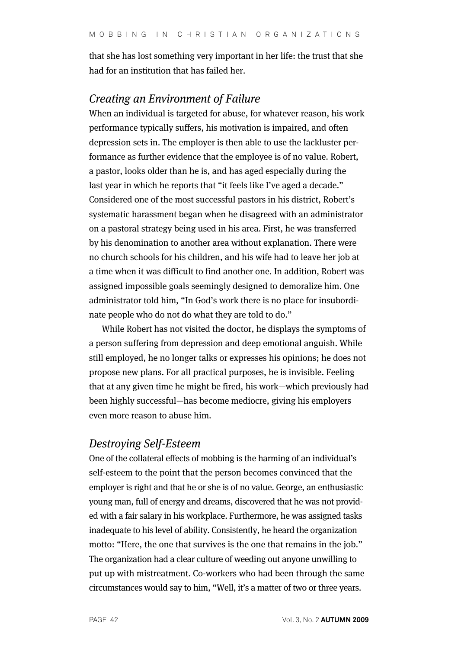that she has lost something very important in her life: the trust that she had for an institution that has failed her.

# Creating an Environment of Failure

When an individual is targeted for abuse, for whatever reason, his work performance typically suffers, his motivation is impaired, and often depression sets in. The employer is then able to use the lackluster performance as further evidence that the employee is of no value. Robert, a pastor, looks older than he is, and has aged especially during the last year in which he reports that "it feels like I've aged a decade." Considered one of the most successful pastors in his district, Robert's systematic harassment began when he disagreed with an administrator on a pastoral strategy being used in his area. First, he was transferred by his denomination to another area without explanation. There were no church schools for his children, and his wife had to leave her job at a time when it was difficult to find another one. In addition, Robert was assigned impossible goals seemingly designed to demoralize him. One administrator told him, "In God's work there is no place for insubordinate people who do not do what they are told to do."

While Robert has not visited the doctor, he displays the symptoms of a person suffering from depression and deep emotional anguish. While still employed, he no longer talks or expresses his opinions; he does not propose new plans. For all practical purposes, he is invisible. Feeling that at any given time he might be fired, his work—which previously had been highly successful—has become mediocre, giving his employers even more reason to abuse him.

# Destroying Self-Esteem

One of the collateral effects of mobbing is the harming of an individual's self-esteem to the point that the person becomes convinced that the employer is right and that he or she is of no value. George, an enthusiastic young man, full of energy and dreams, discovered that he was not provided with a fair salary in his workplace. Furthermore, he was assigned tasks inadequate to his level of ability. Consistently, he heard the organization motto: "Here, the one that survives is the one that remains in the job." The organization had a clear culture of weeding out anyone unwilling to put up with mistreatment. Co-workers who had been through the same circumstances would say to him, "Well, it's a matter of two or three years.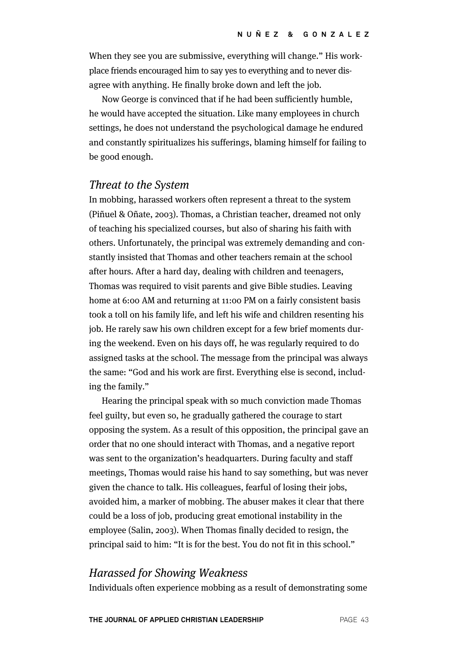When they see you are submissive, everything will change." His workplace friends encouraged him to say yes to everything and to never disagree with anything. He finally broke down and left the job.

Now George is convinced that if he had been sufficiently humble, he would have accepted the situation. Like many employees in church settings, he does not understand the psychological damage he endured and constantly spiritualizes his sufferings, blaming himself for failing to be good enough.

### Threat to the System

In mobbing, harassed workers often represent a threat to the system (Piñuel & Oñate, 2003). Thomas, a Christian teacher, dreamed not only of teaching his specialized courses, but also of sharing his faith with others. Unfortunately, the principal was extremely demanding and constantly insisted that Thomas and other teachers remain at the school after hours. After a hard day, dealing with children and teenagers, Thomas was required to visit parents and give Bible studies. Leaving home at 6:00 AM and returning at 11:00 PM on a fairly consistent basis took a toll on his family life, and left his wife and children resenting his job. He rarely saw his own children except for a few brief moments during the weekend. Even on his days off, he was regularly required to do assigned tasks at the school. The message from the principal was always the same: "God and his work are first. Everything else is second, including the family."

Hearing the principal speak with so much conviction made Thomas feel guilty, but even so, he gradually gathered the courage to start opposing the system. As a result of this opposition, the principal gave an order that no one should interact with Thomas, and a negative report was sent to the organization's headquarters. During faculty and staff meetings, Thomas would raise his hand to say something, but was never given the chance to talk. His colleagues, fearful of losing their jobs, avoided him, a marker of mobbing. The abuser makes it clear that there could be a loss of job, producing great emotional instability in the employee (Salin, 2003). When Thomas finally decided to resign, the principal said to him: "It is for the best. You do not fit in this school."

# Harassed for Showing Weakness

Individuals often experience mobbing as a result of demonstrating some

**THE JOURNAL OF APPLIED CHRISTIAN LEADERSHIP PAGE 43**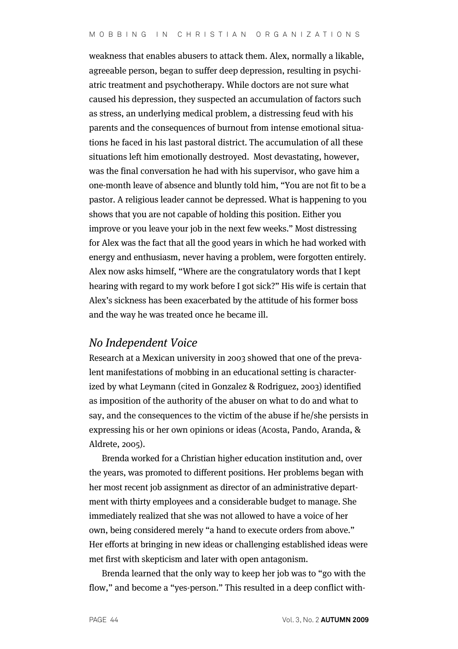weakness that enables abusers to attack them. Alex, normally a likable, agreeable person, began to suffer deep depression, resulting in psychiatric treatment and psychotherapy. While doctors are not sure what caused his depression, they suspected an accumulation of factors such as stress, an underlying medical problem, a distressing feud with his parents and the consequences of burnout from intense emotional situations he faced in his last pastoral district. The accumulation of all these situations left him emotionally destroyed. Most devastating, however, was the final conversation he had with his supervisor, who gave him a one-month leave of absence and bluntly told him, "You are not fit to be a pastor. A religious leader cannot be depressed. What is happening to you shows that you are not capable of holding this position. Either you improve or you leave your job in the next few weeks." Most distressing for Alex was the fact that all the good years in which he had worked with energy and enthusiasm, never having a problem, were forgotten entirely. Alex now asks himself, "Where are the congratulatory words that I kept hearing with regard to my work before I got sick?" His wife is certain that Alex's sickness has been exacerbated by the attitude of his former boss and the way he was treated once he became ill.

## No Independent Voice

Research at a Mexican university in 2003 showed that one of the prevalent manifestations of mobbing in an educational setting is characterized by what Leymann (cited in Gonzalez & Rodriguez, 2003) identified as imposition of the authority of the abuser on what to do and what to say, and the consequences to the victim of the abuse if he/she persists in expressing his or her own opinions or ideas (Acosta, Pando, Aranda, & Aldrete, 2005).

Brenda worked for a Christian higher education institution and, over the years, was promoted to different positions. Her problems began with her most recent job assignment as director of an administrative department with thirty employees and a considerable budget to manage. She immediately realized that she was not allowed to have a voice of her own, being considered merely "a hand to execute orders from above." Her efforts at bringing in new ideas or challenging established ideas were met first with skepticism and later with open antagonism.

Brenda learned that the only way to keep her job was to "go with the flow," and become a "yes-person." This resulted in a deep conflict with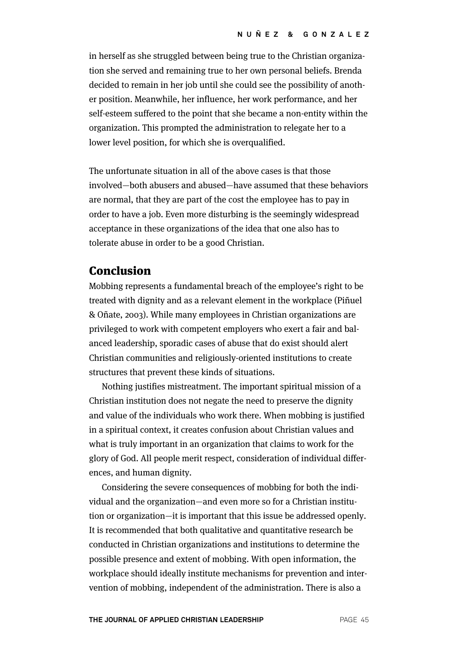in herself as she struggled between being true to the Christian organization she served and remaining true to her own personal beliefs. Brenda decided to remain in her job until she could see the possibility of another position. Meanwhile, her influence, her work performance, and her self-esteem suffered to the point that she became a non-entity within the organization. This prompted the administration to relegate her to a lower level position, for which she is overqualified.

The unfortunate situation in all of the above cases is that those involved—both abusers and abused—have assumed that these behaviors are normal, that they are part of the cost the employee has to pay in order to have a job. Even more disturbing is the seemingly widespread acceptance in these organizations of the idea that one also has to tolerate abuse in order to be a good Christian.

## Conclusion

Mobbing represents a fundamental breach of the employee's right to be treated with dignity and as a relevant element in the workplace (Piñuel & Oñate, 2003). While many employees in Christian organizations are privileged to work with competent employers who exert a fair and balanced leadership, sporadic cases of abuse that do exist should alert Christian communities and religiously-oriented institutions to create structures that prevent these kinds of situations.

Nothing justifies mistreatment. The important spiritual mission of a Christian institution does not negate the need to preserve the dignity and value of the individuals who work there. When mobbing is justified in a spiritual context, it creates confusion about Christian values and what is truly important in an organization that claims to work for the glory of God. All people merit respect, consideration of individual differences, and human dignity.

Considering the severe consequences of mobbing for both the individual and the organization—and even more so for a Christian institution or organization—it is important that this issue be addressed openly. It is recommended that both qualitative and quantitative research be conducted in Christian organizations and institutions to determine the possible presence and extent of mobbing. With open information, the workplace should ideally institute mechanisms for prevention and intervention of mobbing, independent of the administration. There is also a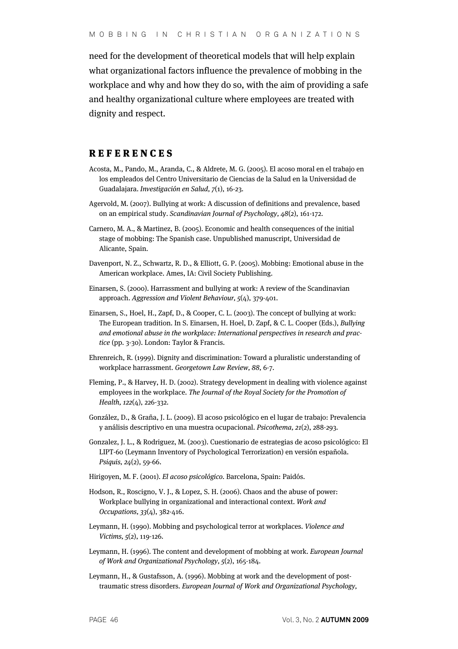need for the development of theoretical models that will help explain what organizational factors influence the prevalence of mobbing in the workplace and why and how they do so, with the aim of providing a safe and healthy organizational culture where employees are treated with dignity and respect.

#### **REFERENCES**

- Acosta, M., Pando, M., Aranda, C., & Aldrete, M. G. (2005). El acoso moral en el trabajo en los empleados del Centro Universitario de Ciencias de la Salud en la Universidad de Guadalajara. Investigación en Salud, 7(1), 16-23.
- Agervold, M. (2007). Bullying at work: A discussion of definitions and prevalence, based on an empirical study. Scandinavian Journal of Psychology, 48(2), 161-172.
- Carnero, M. A., & Martinez, B. (2005). Economic and health consequences of the initial stage of mobbing: The Spanish case. Unpublished manuscript, Universidad de Alicante, Spain.
- Davenport, N. Z., Schwartz, R. D., & Elliott, G. P. (2005). Mobbing: Emotional abuse in the American workplace. Ames, IA: Civil Society Publishing.
- Einarsen, S. (2000). Harrassment and bullying at work: A review of the Scandinavian approach. Aggression and Violent Behaviour, 5(4), 379-401.
- Einarsen, S., Hoel, H., Zapf, D., & Cooper, C. L. (2003). The concept of bullying at work: The European tradition. In S. Einarsen, H. Hoel, D. Zapf, & C. L. Cooper (Eds.), Bullying and emotional abuse in the workplace: International perspectives in research and practice (pp. 3-30). London: Taylor & Francis.
- Ehrenreich, R. (1999). Dignity and discrimination: Toward a pluralistic understanding of workplace harrassment. Georgetown Law Review, 88, 6-7.
- Fleming, P., & Harvey, H. D. (2002). Strategy development in dealing with violence against employees in the workplace. The Journal of the Royal Society for the Promotion of Health, 122(4), 226-332.
- González, D., & Graña, J. L. (2009). El acoso psicológico en el lugar de trabajo: Prevalencia y análisis descriptivo en una muestra ocupacional. Psicothema, 21(2), 288-293.
- Gonzalez, J. L., & Rodriguez, M. (2003). Cuestionario de estrategias de acoso psicológico: El LIPT-60 (Leymann Inventory of Psychological Terrorization) en versión española. Psiquis, 24(2), 59-66.
- Hirigoyen, M. F. (2001). El acoso psicológico. Barcelona, Spain: Paidós.
- Hodson, R., Roscigno, V. J., & Lopez, S. H. (2006). Chaos and the abuse of power: Workplace bullying in organizational and interactional context. Work and Occupations, 33(4), 382-416.
- Leymann, H. (1990). Mobbing and psychological terror at workplaces. Violence and Victims, 5(2), 119-126.
- Leymann, H. (1996). The content and development of mobbing at work. European Journal of Work and Organizational Psychology, 5(2), 165-184.
- Leymann, H., & Gustafsson, A. (1996). Mobbing at work and the development of posttraumatic stress disorders. European Journal of Work and Organizational Psychology,